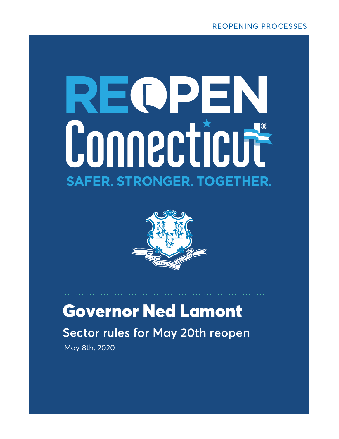# REOPEN Connecticut **SAFER. STRONGER. TOGETHER.**



### May 8th, 2020 Governor Ned Lamont **Sector rules for May 20th reopen**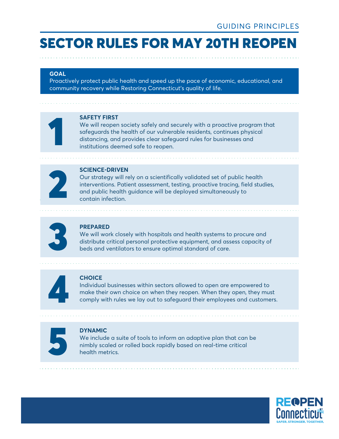#### **GOAL**

Proactively protect public health and speed up the pace of economic, educational, and community recovery while Restoring Connecticut's quality of life.



#### **SAFETY FIRST**

We will reopen society safely and securely with a proactive program that safeguards the health of our vulnerable residents, continues physical **SAFETY FIRST**<br>We will reopen society safely and securely with a proactive progress<br>afeguards the health of our vulnerable residents, continues physicalistancing, and provides clear safeguard rules for businesses and<br>insti



#### **SCIENCE-DRIVEN**

Our strategy will rely on a scientifically validated set of public health interventions. Patient assessment, testing, proactive tracing, field studies, SCIENCE-DRIVEN<br>Our strategy will rely on a scientifically validated set of public h<br>interventions. Patient assessment, testing, proactive tracing, fie<br>and public health guidance will be deployed simultaneously to<br>contain i



#### **PREPARED**

We will work closely with hospitals and health systems to procure and distribute critical personal protective equipment, and assess capacity of beds and ventilators to ensure optimal standard of care.



#### **CHOICE**

Individual businesses within sectors allowed to open are empowered to make their own choice on when they reopen. When they open, they must comply with rules we lay out to safeguard their employees and customers.



#### **DYNAMIC**

We include a suite of tools to inform an adaptive plan that can be **DYNAMIC**<br>We include a suite of tools to inform an adaptive plan that can<br>nimbly scaled or rolled back rapidly based on real-time critical<br>health metrics.

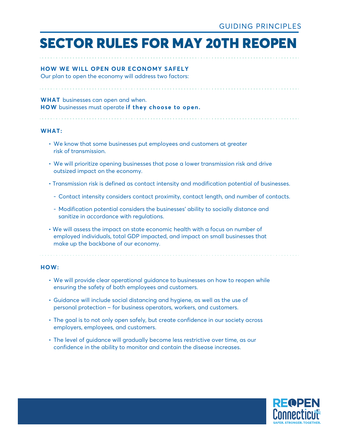#### **HOW WE WILL OPEN OUR ECONOMY SAFELY**

Our plan to open the economy will address two factors:

#### **WHAT** businesses can open and when. **HOW** businesses must operate **if they choose to open.**

#### **WHAT:**

- We know that some businesses put employees and customers at greater risk of transmission.
- We will prioritize opening businesses that pose a lower transmission risk and drive outsized impact on the economy.
- Transmission risk is defined as contact intensity and modification potential of businesses.
	- Contact intensity considers contact proximity, contact length, and number of contacts.
	- Modification potential considers the businesses' ability to socially distance and sanitize in accordance with regulations.
- We will assess the impact on state economic health with a focus on number of employed individuals, total GDP impacted, and impact on small businesses that make up the backbone of our economy.

#### **HOW:**

- We will provide clear operational guidance to businesses on how to reopen while ensuring the safety of both employees and customers.
- Guidance will include social distancing and hygiene, as well as the use of personal protection – for business operators, workers, and customers.
- The goal is to not only open safely, but create confidence in our society across employers, employees, and customers.
- The level of guidance will gradually become less restrictive over time, as our confidence in the ability to monitor and contain the disease increases.

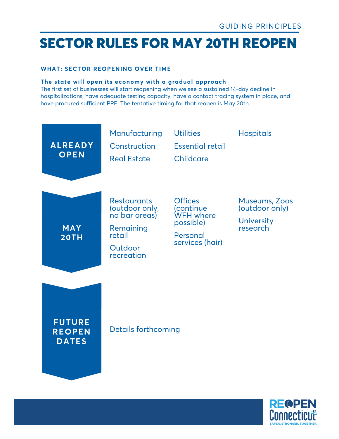#### **WHAT: SECTOR REOPENING OVER TIME**

#### **The state will open its economy with a gradual approach**

The first set of businesses will start reopening when we see a sustained 14-day decline in hospitalizations, have adequate testing capacity, have a contact tracing system in place, and have procured sufficient PPE. The tentative timing for that reopen is May 20th.



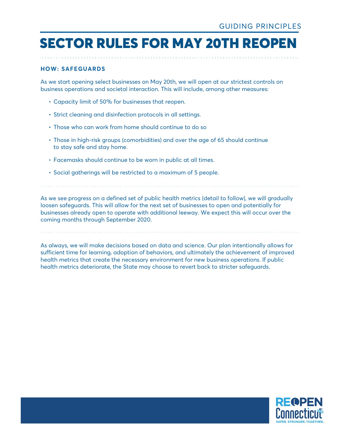#### **HOW: SAFEGUARDS**

As we start opening select businesses on May 20th, we will open at our strictest controls on business operations and societal interaction. This will include, among other measures:

- Capacity limit of 50% for businesses that reopen.
- Strict cleaning and disinfection protocols in all settings.
- Those who can work from home should continue to do so
- Those in high-risk groups (comorbidities) and over the age of 65 should continue to stay safe and stay home.
- Facemasks should continue to be worn in public at all times.
- Social gatherings will be restricted to a maximum of 5 people.

As we see progress on a defined set of public health metrics (detail to follow), we will gradually loosen safeguards. This will allow for the next set of businesses to open and potentially for businesses already open to operate with additional leeway. We expect this will occur over the coming months through September 2020.

As always, we will make decisions based on data and science. Our plan intentionally allows for sufficient time for learning, adoption of behaviors, and ultimately the achievement of improved health metrics that create the necessary environment for new business operations. If public health metrics deteriorate, the State may choose to revert back to stricter safeguards.

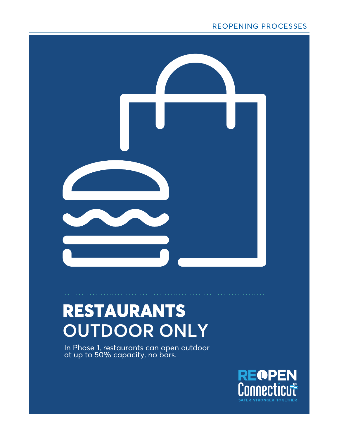#### REOPENING PROCESSES



# RESTAURANTS **OUTDOOR ONLY**

In Phase 1, restaurants can open outdoor at up to 50% capacity, no bars.

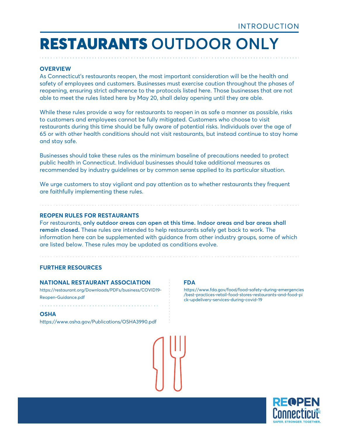#### **OVERVIEW**

As Connecticut's restaurants reopen, the most important consideration will be the health and safety of employees and customers. Businesses must exercise caution throughout the phases of reopening, ensuring strict adherence to the protocols listed here. Those businesses that are not able to meet the rules listed here by May 20, shall delay opening until they are able.

While these rules provide a way for restaurants to reopen in as safe a manner as possible, risks to customers and employees cannot be fully mitigated. Customers who choose to visit restaurants during this time should be fully aware of potential risks. Individuals over the age of 65 or with other health conditions should not visit restaurants, but instead continue to stay home and stay safe.

Businesses should take these rules as the minimum baseline of precautions needed to protect public health in Connecticut. Individual businesses should take additional measures as recommended by industry guidelines or by common sense applied to its particular situation.

We urge customers to stay vigilant and pay attention as to whether restaurants they frequent are faithfully implementing these rules.

#### **REOPEN RULES FOR RESTAURANTS**

For restaurants, **only outdoor areas can open at this time. Indoor areas and bar areas shall remain closed.** These rules are intended to help restaurants safely get back to work. The information here can be supplemented with guidance from other industry groups, some of which are listed below. These rules may be updated as conditions evolve.

#### **FURTHER RESOURCES**

#### **NATIONAL RESTAURANT ASSOCIATION**

https://restaurant.org/Downloads/PDFs/business/COVID19- Reopen-Guidance.pdf

#### **OSHA**

https://www.osha.gov/Publications/OSHA3990.pdf

**FDA**

[https://www.fda.gov/food/food-safety-during-emergencies](https://www.fda.gov/food/food-safety-during-emergencies/best-practices-retail-food-stores-restaurants-and-food-pick-updelivery-services-during-covid-19) /best-practices-retail-food-stores-restaurants-and-food-pi ck-updelivery-services-during-covid-19

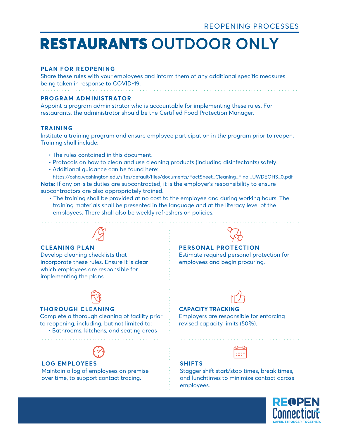#### **PLAN FOR REOPENING**

Share these rules with your employees and inform them of any additional specific measures being taken in response to COVID-19.

#### **PROGRAM ADMINISTRATOR**

Appoint a program administrator who is accountable for implementing these rules. For restaurants, the administrator should be the Certified Food Protection Manager.

#### **TRAINING**

Institute a training program and ensure employee participation in the program prior to reopen. Training shall include:

• The rules contained in this document.

- Protocols on how to clean and use cleaning products (including disinfectants) safely.
- Additional guidance can be found here:

 https://osha.washington.edu/sites/default/files/documents/FactSheet\_Cleaning\_Final\_UWDEOHS\_0.pdf **Note:** If any on-site duties are subcontracted, it is the employer's responsibility to ensure subcontractors are also appropriately trained.

 • The training shall be provided at no cost to the employee and during working hours. The training materials shall be presented in the language and at the literacy level of the employees. There shall also be weekly refreshers on policies.



#### **CLEANING PLAN**

Develop cleaning checklists that incorporate these rules. Ensure it is clear which employees are responsible for implementing the plans.



#### **THOROUGH CLEANING**

Complete a thorough cleaning of facility prior to reopening, including, but not limited to: • Bathrooms, kitchens, and seating areas



#### **LOG EMPLOYEES**

Maintain a log of employees on premise over time, to support contact tracing.

#### **PERSONAL PROTECTION**

Estimate required personal protection for employees and begin procuring.



#### **CAPACITY TRACKING**

Employers are responsible for enforcing revised capacity limits (50%).

#### **SHIFTS**

Stagger shift start/stop times, break times, and lunchtimes to minimize contact across employees.

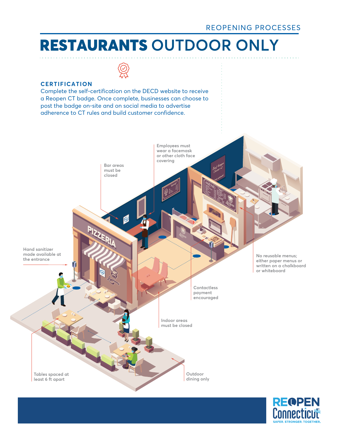

#### **CERTIFICATION**

Complete the self-certification on the DECD website to receive a Reopen CT badge. Once complete, businesses can choose to post the badge on-site and on social media to advertise adherence to CT rules and build customer confidence.



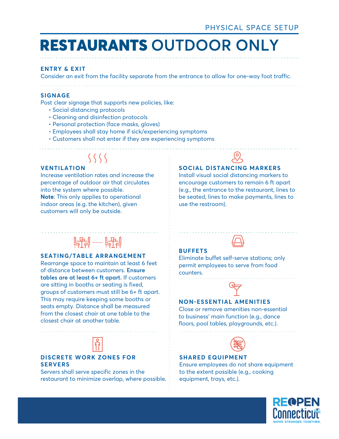#### **ENTRY & EXIT**

Consider an exit from the facility separate from the entrance to allow for one-way foot traffic.

#### **SIGNAGE**

Post clear signage that supports new policies, like:

- Social distancing protocols
- Cleaning and disinfection protocols
- Personal protection (face masks, gloves)
- Employees shall stay home if sick/experiencing symptoms
- Customers shall not enter if they are experiencing symptoms

### $\langle \zeta \zeta \zeta \rangle$

#### **VENTILATION**

Increase ventilation rates and increase the percentage of outdoor air that circulates into the system where possible. **Note**: This only applies to operational indoor areas (e.g. the kitchen), given customers will only be outside.

#### **SOCIAL DISTANCING MARKERS**

Install visual social distancing markers to encourage customers to remain 6 ft apart (e.g., the entrance to the restaurant, lines to be seated, lines to make payments, lines to use the restroom).

### $\frac{1}{2}$

#### **SEATING/TABLE ARRANGEMENT**

Rearrange space to maintain at least 6 feet of distance between customers. **Ensure tables are at least 6+ ft apart.** If customers are sitting in booths or seating is fixed, groups of customers must still be 6+ ft apart. This may require keeping some booths or seats empty. Distance shall be measured from the closest chair at one table to the closest chair at another table.



#### **DISCRETE WORK ZONES FOR SERVERS**

Servers shall serve specific zones in the restaurant to minimize overlap, where possible.

#### **BUFFETS**

Eliminate buffet self-serve stations; only permit employees to serve from food counters.



#### **NON-ESSENTIAL AMENITIES**

Close or remove amenities non-essential to business' main function (e.g., dance floors, pool tables, playgrounds, etc.).



#### **SHARED EQUIPMENT**

Ensure employees do not share equipment to the extent possible (e.g., cooking equipment, trays, etc.).

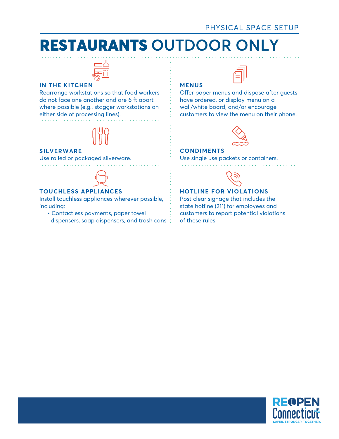

#### **IN THE KITCHEN**

Rearrange workstations so that food workers do not face one another and are 6 ft apart where possible (e.g., stagger workstations on either side of processing lines).



#### **SILVERWARE**

Use rolled or packaged silverware.



#### **TOUCHLESS APPLIANCES**

Install touchless appliances wherever possible, including:

 • Contactless payments, paper towel dispensers, soap dispensers, and trash cans

#### **MENUS**



Offer paper menus and dispose after guests have ordered, or display menu on a wall/white board, and/or encourage customers to view the menu on their phone.



#### **CONDIMENTS**

Use single use packets or containers.



#### **HOTLINE FOR VIOLATIONS**

Post clear signage that includes the state hotline (211) for employees and customers to report potential violations of these rules.

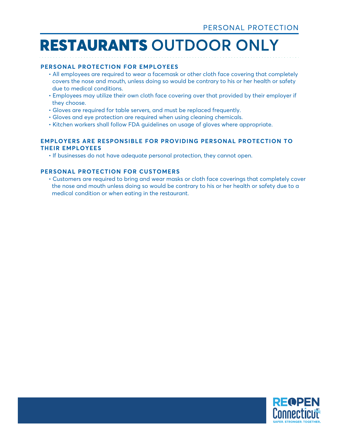#### **PERSONAL PROTECTION FOR EMPLOYEES**

- All employees are required to wear a facemask or other cloth face covering that completely covers the nose and mouth, unless doing so would be contrary to his or her health or safety due to medical conditions.
- Employees may utilize their own cloth face covering over that provided by their employer if they choose.
- Gloves are required for table servers, and must be replaced frequently.
- Gloves and eye protection are required when using cleaning chemicals.
- Kitchen workers shall follow FDA guidelines on usage of gloves where appropriate.

#### **EMPLOYERS ARE RESPONSIBLE FOR PROVIDING PERSONAL PROTECTION TO THEIR EMPLOYEES**

• If businesses do not have adequate personal protection, they cannot open.

#### **PERSONAL PROTECTION FOR CUSTOMERS**

 • Customers are required to bring and wear masks or cloth face coverings that completely cover the nose and mouth unless doing so would be contrary to his or her health or safety due to a medical condition or when eating in the restaurant.

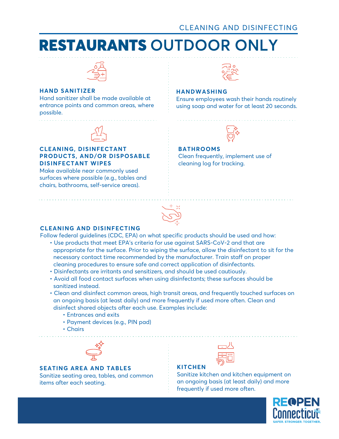

#### **HAND SANITIZER**

Hand sanitizer shall be made available at entrance points and common areas, where possible.



#### **CLEANING, DISINFECTANT PRODUCTS, AND/OR DISPOSABLE DISINFECTANT WIPES**

Make available near commonly used surfaces where possible (e.g., tables and chairs, bathrooms, self-service areas).



#### **HANDWASHING**

Ensure employees wash their hands routinely using soap and water for at least 20 seconds.



#### **BATHROOMS**

Clean frequently, implement use of cleaning log for tracking.



#### **CLEANING AND DISINFECTING**

Follow federal guidelines (CDC, EPA) on what specific products should be used and how:

- Use products that meet EPA's criteria for use against SARS-CoV-2 and that are appropriate for the surface. Prior to wiping the surface, allow the disinfectant to sit for the necessary contact time recommended by the manufacturer. Train staff on proper cleaning procedures to ensure safe and correct application of disinfectants.
- Disinfectants are irritants and sensitizers, and should be used cautiously.
- Avoid all food contact surfaces when using disinfectants; these surfaces should be sanitized instead.
- Clean and disinfect common areas, high transit areas, and frequently touched surfaces on an ongoing basis (at least daily) and more frequently if used more often. Clean and disinfect shared objects after each use. Examples include:
	- Entrances and exits
	- Payment devices (e.g., PIN pad)
	- Chairs



#### **SEATING AREA AND TABLES**

Sanitize seating area, tables, and common items after each seating.



#### **KITCHEN**

Sanitize kitchen and kitchen equipment on an ongoing basis (at least daily) and more frequently if used more often.